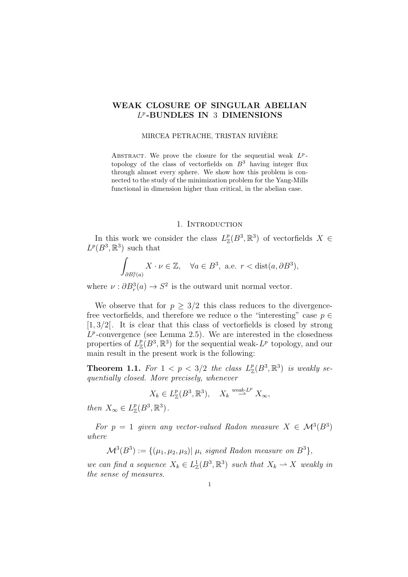## WEAK CLOSURE OF SINGULAR ABELIAN L p -BUNDLES IN 3 DIMENSIONS

## MIRCEA PETRACHE, TRISTAN RIVIERE `

ABSTRACT. We prove the closure for the sequential weak  $L^p$ topology of the class of vectorfields on  $B<sup>3</sup>$  having integer flux through almost every sphere. We show how this problem is connected to the study of the minimization problem for the Yang-Mills functional in dimension higher than critical, in the abelian case.

### 1. INTRODUCTION

In this work we consider the class  $L^p_{\mathbb{Z}}(B^3,\mathbb{R}^3)$  of vectorfields  $X \in$  $L^p(B^3,\mathbb{R}^3)$  such that

$$
\int_{\partial B_r^3(a)} X \cdot \nu \in \mathbb{Z}, \quad \forall a \in B^3, \text{ a.e. } r < \text{dist}(a, \partial B^3),
$$

where  $\nu : \partial B_r^3(a) \to S^2$  is the outward unit normal vector.

We observe that for  $p > 3/2$  this class reduces to the divergencefree vectorfields, and therefore we reduce o the "interesting" case  $p \in$  $[1, 3/2]$ . It is clear that this class of vectorfields is closed by strong  $L^p$ -convergence (see Lemma 2.5). We are interested in the closedness properties of  $L^p_{\mathbb{Z}}(B^3,\mathbb{R}^3)$  for the sequential weak- $L^p$  topology, and our main result in the present work is the following:

**Theorem 1.1.** For  $1 < p < 3/2$  the class  $L^p_{\mathbb{Z}}(B^3, \mathbb{R}^3)$  is weakly sequentially closed. More precisely, whenever

$$
X_k \in L^p_{\mathbb{Z}}(B^3, \mathbb{R}^3), \quad X_k \stackrel{\text{weak-}L^p}{\rightharpoonup} X_{\infty},
$$

then  $X_{\infty} \in L_{\mathbb{Z}}^p(B^3, \mathbb{R}^3)$ .

For  $p = 1$  given any vector-valued Radon measure  $X \in \mathcal{M}^3(B^3)$ where

 $\mathcal{M}^{3}(B^{3}):=\{(\mu_{1},\mu_{2},\mu_{3})| \ \mu_{i} \ \textit{signed Radon measure on} \ B^{3}\},$ 

we can find a sequence  $X_k \in L^1_{\mathbb{Z}}(B^3, \mathbb{R}^3)$  such that  $X_k \rightharpoonup X$  weakly in the sense of measures.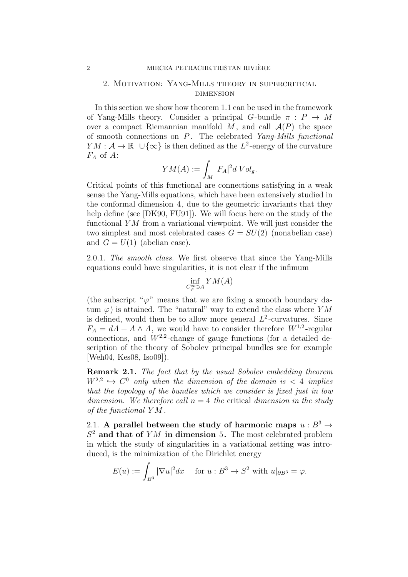## 2. Motivation: Yang-Mills theory in supercritical dimension

In this section we show how theorem 1.1 can be used in the framework of Yang-Mills theory. Consider a principal G-bundle  $\pi$ :  $P \rightarrow M$ over a compact Riemannian manifold  $M$ , and call  $\mathcal{A}(P)$  the space of smooth connections on  $P$ . The celebrated Yang-Mills functional  $YM: \mathcal{A} \to \mathbb{R}^+ \cup {\infty}$  is then defined as the  $L^2$ -energy of the curvature  $F_A$  of A:

$$
YM(A):=\int_M|F_A|^2dVol_g.
$$

Critical points of this functional are connections satisfying in a weak sense the Yang-Mills equations, which have been extensively studied in the conformal dimension 4, due to the geometric invariants that they help define (see [DK90, FU91]). We will focus here on the study of the functional  $YM$  from a variational viewpoint. We will just consider the two simplest and most celebrated cases  $G = SU(2)$  (nonabelian case) and  $G = U(1)$  (abelian case).

2.0.1. The smooth class. We first observe that since the Yang-Mills equations could have singularities, it is not clear if the infimum

$$
\inf_{C^{\infty}_{\varphi}\ni A}YM(A)
$$

(the subscript " $\varphi$ " means that we are fixing a smooth boundary datum  $\varphi$ ) is attained. The "natural" way to extend the class where YM is defined, would then be to allow more general  $L^2$ -curvatures. Since  $F_A = dA + A \wedge A$ , we would have to consider therefore  $W^{1,2}$ -regular connections, and  $W^{2,2}$ -change of gauge functions (for a detailed description of the theory of Sobolev principal bundles see for example [Weh04, Kes08, Iso09]).

Remark 2.1. The fact that by the usual Sobolev embedding theorem  $W^{2,2} \hookrightarrow C^0$  only when the dimension of the domain is  $\lt 4$  implies that the topology of the bundles which we consider is fixed just in low dimension. We therefore call  $n = 4$  the critical dimension in the study of the functional Y M .

2.1. A parallel between the study of harmonic maps  $u : B^3 \rightarrow$  $S<sup>2</sup>$  and that of YM in dimension 5. The most celebrated problem in which the study of singularities in a variational setting was introduced, is the minimization of the Dirichlet energy

$$
E(u) := \int_{B^3} |\nabla u|^2 dx \quad \text{ for } u : B^3 \to S^2 \text{ with } u|_{\partial B^3} = \varphi.
$$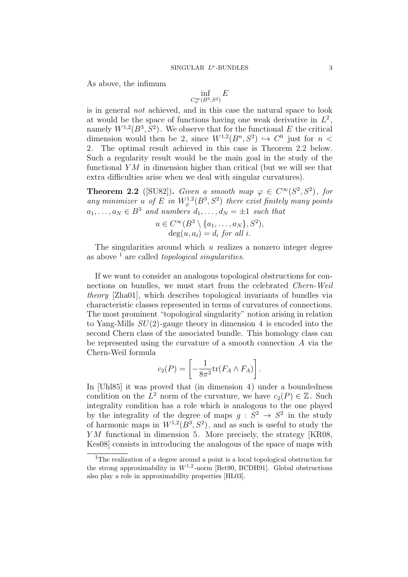As above, the infimum

$$
\inf_{C^{\infty}_{\varphi}(B^3, S^2)} E
$$

is in general not achieved, and in this case the natural space to look at would be the space of functions having one weak derivative in  $L^2$ , namely  $W^{1,2}(B^3, S^2)$ . We observe that for the functional E the critical dimension would then be 2, since  $W^{1,2}(B^n, S^2) \hookrightarrow C^0$  just for  $n <$ 2. The optimal result achieved in this case is Theorem 2.2 below. Such a regularity result would be the main goal in the study of the functional  $YM$  in dimension higher than critical (but we will see that extra difficulties arise when we deal with singular curvatures).

**Theorem 2.2** ([SU82]). Given a smooth map  $\varphi \in C^{\infty}(S^2, S^2)$ , for any minimizer u of E in  $W^{1,2}_{\varphi}(B^3, S^2)$  there exist finitely many points  $a_1, \ldots, a_N \in B^3$  and numbers  $d_1, \ldots, d_N = \pm 1$  such that

$$
u \in C^{\infty}(B^3 \setminus \{a_1, \ldots, a_N\}, S^2),
$$
  

$$
deg(u, a_i) = d_i \text{ for all } i.
$$

The singularities around which  $u$  realizes a nonzero integer degree as above  $\frac{1}{1}$  are called *topological singularities*.

If we want to consider an analogous topological obstructions for connections on bundles, we must start from the celebrated *Chern-Weil* theory [Zha01], which describes topological invariants of bundles via characteristic classes represented in terms of curvatures of connections. The most prominent "topological singularity" notion arising in relation to Yang-Mills  $SU(2)$ -gauge theory in dimension 4 is encoded into the second Chern class of the associated bundle. This homology class can be represented using the curvature of a smooth connection A via the Chern-Weil formula

$$
c_2(P) = \left[ -\frac{1}{8\pi^2} \text{tr}(F_A \wedge F_A) \right].
$$

In [Uhl85] it was proved that (in dimension 4) under a boundedness condition on the  $L^2$  norm of the curvature, we have  $c_2(P) \in \mathbb{Z}$ . Such integrality condition has a role which is analogous to the one played by the integrality of the degree of maps  $g: S^2 \to S^2$  in the study of harmonic maps in  $W^{1,2}(B^3, S^2)$ , and as such is useful to study the YM functional in dimension 5. More precisely, the strategy [KR08, Kes08] consists in introducing the analogous of the space of maps with

<sup>&</sup>lt;sup>1</sup>The realization of a degree around a point is a local topological obstruction for the strong approximability in  $W^{1,2}$ -norm [Bet90, BCDH91]. Global obstructions also play a role in approximability properties [HL03].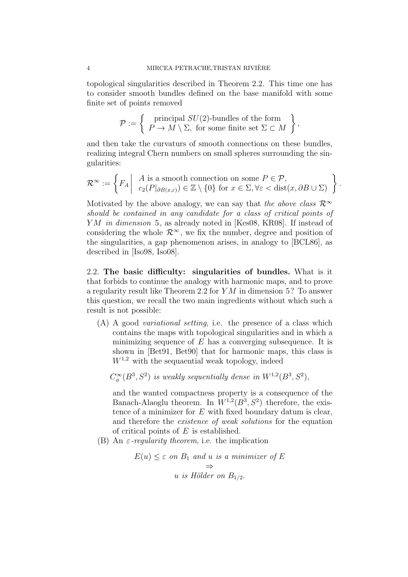topological singularities described in Theorem 2.2. This time one has to consider smooth bundles defined on the base manifold with some finite set of points removed

$$
\mathcal{P} := \left\{ \begin{array}{c} \text{principal } SU(2)\text{-bundles of the form} \\ P \to M \setminus \Sigma, \text{ for some finite set } \Sigma \subset M \end{array} \right\},\
$$

and then take the curvaturs of smooth connections on these bundles, realizing integral Chern numbers on small spheres surrounding the singularities:

$$
\mathcal{R}^{\infty} := \left\{ F_A \middle| \begin{array}{c} A \text{ is a smooth connection on some } P \in \mathcal{P}, \\ c_2(P|_{\partial B(x,\varepsilon)}) \in \mathbb{Z} \setminus \{0\} \text{ for } x \in \Sigma, \forall \varepsilon < \text{dist}(x, \partial B \cup \Sigma) \end{array} \right\}
$$

.

Motivated by the above analogy, we can say that the above class  $\mathcal{R}^{\infty}$ should be contained in any candidate for a class of critical points of YM in dimension 5, as already noted in [Kes08, KR08]. If instead of considering the whole  $\mathcal{R}^{\infty}$ , we fix the number, degree and position of the singularities, a gap phenomenon arises, in analogy to [BCL86], as described in [Iso98, Iso08].

2.2. The basic difficulty: singularities of bundles. What is it that forbids to continue the analogy with harmonic maps, and to prove a regularity result like Theorem 2.2 for Y M in dimension 5? To answer this question, we recall the two main ingredients without which such a result is not possible:

(A) A good variational setting, i.e. the presence of a class which contains the maps with topological singularities and in which a minimizing sequence of  $E$  has a converging subsequence. It is shown in [Bet91, Bet90] that for harmonic maps, this class is  $W^{1,2}$  with the sequaential weak topology, indeed

 $C^{\infty}_{\phi}(B^3, S^2)$  is weakly sequentially dense in  $W^{1,2}(B^3, S^2)$ ,

and the wanted compactness property is a consequence of the Banach-Alaoglu theorem. In  $W^{1,2}(B^3, S^2)$  therefore, the existence of a minimizer for  $E$  with fixed boundary datum is clear, and therefore the *existence* of weak solutions for the equation of critical points of  $E$  is established.

(B) An  $\varepsilon$ -regularity theorem, i.e. the implication

$$
E(u) \leq \varepsilon \text{ on } B_1 \text{ and } u \text{ is a minimizer of } E
$$
  

$$
\Rightarrow
$$
  

$$
u \text{ is Hölder on } B_{1/2}.
$$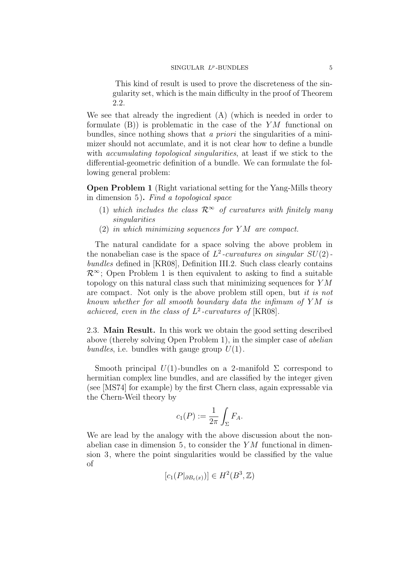This kind of result is used to prove the discreteness of the singularity set, which is the main difficulty in the proof of Theorem 2.2.

We see that already the ingredient (A) (which is needed in order to formulate  $(B)$ ) is problematic in the case of the YM functional on bundles, since nothing shows that a priori the singularities of a minimizer should not accumlate, and it is not clear how to define a bundle with *accumulating topological singularities*, at least if we stick to the differential-geometric definition of a bundle. We can formulate the following general problem:

Open Problem 1 (Right variational setting for the Yang-Mills theory in dimension 5). Find a topological space

- (1) which includes the class  $\mathcal{R}^{\infty}$  of curvatures with finitely many singularities
- (2) in which minimizing sequences for Y M are compact.

The natural candidate for a space solving the above problem in the nonabelian case is the space of  $L^2$ -curvatures on singular  $SU(2)$ . bundles defined in [KR08], Definition III.2. Such class clearly contains  $\mathcal{R}^{\infty}$ ; Open Problem 1 is then equivalent to asking to find a suitable topology on this natural class such that minimizing sequences for Y M are compact. Not only is the above problem still open, but it is not known whether for all smooth boundary data the infimum of Y M is achieved, even in the class of  $L^2$ -curvatures of [KR08].

2.3. Main Result. In this work we obtain the good setting described above (thereby solving Open Problem 1), in the simpler case of abelian bundles, i.e. bundles with gauge group  $U(1)$ .

Smooth principal  $U(1)$ -bundles on a 2-manifold  $\Sigma$  correspond to hermitian complex line bundles, and are classified by the integer given (see [MS74] for example) by the first Chern class, again expressable via the Chern-Weil theory by

$$
c_1(P) := \frac{1}{2\pi} \int_{\Sigma} F_A.
$$

We are lead by the analogy with the above discussion about the nonabelian case in dimension 5, to consider the  $YM$  functional in dimension 3, where the point singularities would be classified by the value of

 $[c_1(P|_{\partial B_{\varepsilon}(x)})] \in H^2(B^3, \mathbb{Z})$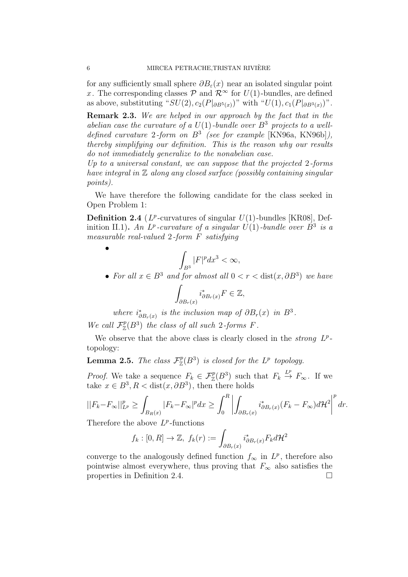for any sufficiently small sphere  $\partial B_{\varepsilon}(x)$  near an isolated singular point x. The corresponding classes  $\mathcal{P}$  and  $\mathcal{R}^{\infty}$  for  $U(1)$ -bundles, are defined as above, substituting " $SU(2), c_2(P|_{\partial B^5(x)})$ " with " $U(1), c_1(P|_{\partial B^3(x)})$ ".

Remark 2.3. We are helped in our approach by the fact that in the abelian case the curvature of a  $U(1)$ -bundle over  $B^3$  projects to a welldefined curvature 2-form on  $B^3$  (see for example [KN96a, KN96b]), thereby simplifying our definition. This is the reason why our results do not immediately generalize to the nonabelian case.

Up to a universal constant, we can suppose that the projected 2-forms have integral in  $\mathbb Z$  along any closed surface (possibly containing singular points).

We have therefore the following candidate for the class seeked in Open Problem 1:

**Definition 2.4** ( $L^p$ -curvatures of singular  $U(1)$ -bundles [KR08], Definition II.1). An  $L^p$ -curvature of a singular  $U(1)$ -bundle over  $B^3$  is a measurable real-valued 2-form F satisfying

$$
\int_{B^3} |F|^p dx^3 < \infty,
$$

• For all  $x \in B^3$  and for almost all  $0 < r <$  dist $(x, \partial B^3)$  we have

$$
\int_{\partial B_r(x)} i^*_{\partial B_r(x)} F \in \mathbb{Z},
$$

where  $i^*_{\partial B_r(x)}$  is the inclusion map of  $\partial B_r(x)$  in  $B^3$ . We call  $\mathcal{F}_{\mathbb{Z}}^p(B^3)$  the class of all such 2-forms F.

We observe that the above class is clearly closed in the *strong*  $L^p$ topology:

**Lemma 2.5.** The class  $\mathcal{F}_{\mathbb{Z}}^p(B^3)$  is closed for the  $L^p$  topology.

*Proof.* We take a sequence  $F_k \in \mathcal{F}_{\mathbb{Z}}^p(B^3)$  such that  $F_k \stackrel{L^p}{\to} F_{\infty}$ . If we take  $x \in B^3, R < \text{dist}(x, \partial B^3)$ , then there holds

$$
||F_k - F_{\infty}||_{L^p}^p \ge \int_{B_R(x)} |F_k - F_{\infty}|^p dx \ge \int_0^R \left| \int_{\partial B_r(x)} i_{\partial B_r(x)}^*(F_k - F_{\infty}) d\mathcal{H}^2 \right|^p dr.
$$

Therefore the above  $L^p$ -functions

$$
f_k : [0, R] \to \mathbb{Z}, \ f_k(r) := \int_{\partial B_r(x)} i_{\partial B_r(x)}^* F_k d\mathcal{H}^2
$$

converge to the analogously defined function  $f_{\infty}$  in  $L^p$ , therefore also pointwise almost everywhere, thus proving that  $F_{\infty}$  also satisfies the properties in Definition 2.4.

•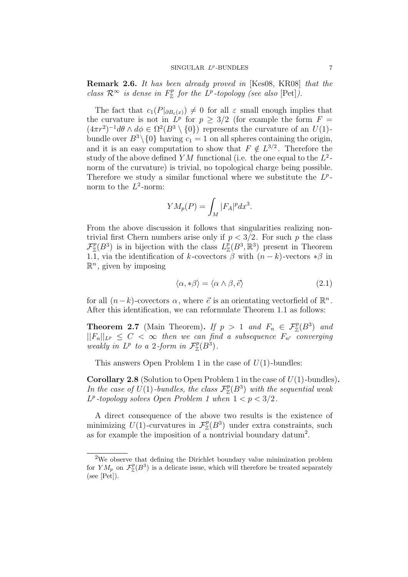Remark 2.6. It has been already proved in [Kes08, KR08] that the class  $\mathcal{R}^{\infty}$  is dense in  $F_{\mathbb{Z}}^{p}$  for the  $L^{p}$ -topology (see also [Pet]).

The fact that  $c_1(P|_{\partial B_{\varepsilon}(x)}) \neq 0$  for all  $\varepsilon$  small enough implies that the curvature is not in  $L^p$  for  $p \geq 3/2$  (for example the form  $F =$  $(4\pi r^2)^{-1}d\theta \wedge d\phi \in \Omega^2(B^3 \setminus \{0\})$  represents the curvature of an  $U(1)$ bundle over  $B^3 \setminus \{0\}$  having  $c_1 = 1$  on all spheres containing the origin, and it is an easy computation to show that  $F \notin L^{3/2}$ . Therefore the study of the above defined YM functional (i.e. the one equal to the  $L^2$ norm of the curvature) is trivial, no topological charge being possible. Therefore we study a similar functional where we substitute the  $L^p$ norm to the  $L^2$ -norm:

$$
YM_p(P) = \int_M |F_A|^p dx^3.
$$

From the above discussion it follows that singularities realizing nontrivial first Chern numbers arise only if  $p < 3/2$ . For such p the class  $\mathcal{F}_{\mathbb{Z}}^p(B^3)$  is in bijection with the class  $L^p_{\mathbb{Z}}(B^3,\mathbb{R}^3)$  present in Theorem 1.1, via the identification of k-covectors  $\beta$  with  $(n-k)$ -vectors  $*\beta$  in  $\mathbb{R}^n$ , given by imposing

$$
\langle \alpha, * \beta \rangle = \langle \alpha \wedge \beta, \vec{e} \rangle \tag{2.1}
$$

for all  $(n-k)$ -covectors  $\alpha$ , where  $\vec{e}$  is an orientating vectorfield of  $\mathbb{R}^n$ . After this identification, we can reformulate Theorem 1.1 as follows:

**Theorem 2.7** (Main Theorem). If  $p > 1$  and  $F_n \in \mathcal{F}_{\mathbb{Z}}^p(B^3)$  and  $||F_n||_{L^p} \leq C < \infty$  then we can find a subsequence  $F_{n'}$  converging weakly in  $L^p$  to a 2-form in  $\mathcal{F}_{\mathbb{Z}}^p(B^3)$ .

This answers Open Problem 1 in the case of  $U(1)$ -bundles:

**Corollary 2.8** (Solution to Open Problem 1 in the case of  $U(1)$ -bundles). In the case of  $\hat{U}(1)$ -bundles, the class  $\mathcal{F}_{\mathbb{Z}}^p(B^3)$  with the sequential weak  $L^p$ -topology solves Open Problem 1 when  $1 < p < 3/2$ .

A direct consequence of the above two results is the existence of minimizing  $U(1)$ -curvatures in  $\mathcal{F}_{\mathbb{Z}}^p(B^3)$  under extra constraints, such as for example the imposition of a nontrivial boundary datum<sup>2</sup>.

<sup>2</sup>We observe that defining the Dirichlet boundary value minimization problem for  $YM_p$  on  $\mathcal{F}_{\mathbb{Z}}^p(B^3)$  is a delicate issue, which will therefore be treated separately (see [Pet]).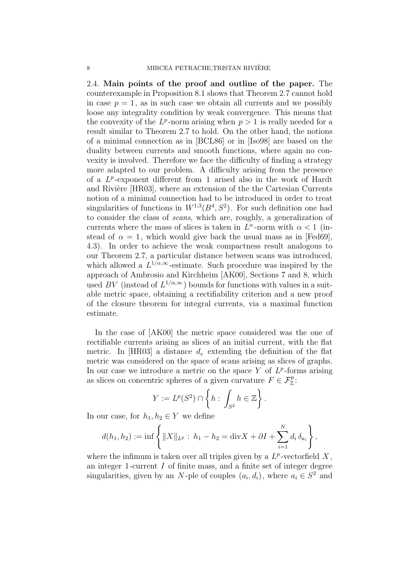2.4. Main points of the proof and outline of the paper. The counterexample in Proposition 8.1 shows that Theorem 2.7 cannot hold in case  $p = 1$ , as in such case we obtain all currents and we possibly loose any integrality condition by weak convergence. This means that the convexity of the  $L^p$ -norm arising when  $p > 1$  is really needed for a result similar to Theorem 2.7 to hold. On the other hand, the notions of a minimal connection as in [BCL86] or in [Iso98] are based on the duality between currents and smooth functions, where again no convexity is involved. Therefore we face the difficulty of finding a strategy more adapted to our problem. A difficulty arising from the presence of a  $L^p$ -exponent different from 1 arised also in the work of Hardt and Rivière [HR03], where an extension of the the Cartesian Currents notion of a minimal connection had to be introduced in order to treat singularities of functions in  $W^{1,3}(B^4, S^2)$ . For such definition one had to consider the class of scans, which are, roughly, a generalization of currents where the mass of slices is taken in  $L^{\alpha}$ -norm with  $\alpha < 1$  (instead of  $\alpha = 1$ , which would give back the usual mass as in [Fed69], 4.3). In order to achieve the weak compactness result analogous to our Theorem 2.7, a particular distance between scans was introduced, which allowed a  $L^{1/\alpha,\infty}$ -estimate. Such procedure was inspired by the approach of Ambrosio and Kirchheim [AK00], Sections 7 and 8, which used BV (instead of  $L^{1/\alpha,\infty}$ ) bounds for functions with values in a suitable metric space, obtaining a rectifiability criterion and a new proof of the closure theorem for integral currents, via a maximal function estimate.

In the case of [AK00] the metric space considered was the one of rectifiable currents arising as slices of an initial current, with the flat metric. In [HR03] a distance  $d_e$  extending the definition of the flat metric was considered on the space of scans arising as slices of graphs. In our case we introduce a metric on the space  $Y$  of  $L^p$ -forms arising as slices on concentric spheres of a given curvature  $F \in \mathcal{F}_{\mathbb{Z}}^p$ :

$$
Y := L^p(S^2) \cap \left\{ h : \int_{S^2} h \in \mathbb{Z} \right\}.
$$

In our case, for  $h_1, h_2 \in Y$  we define

$$
d(h_1, h_2) := \inf \left\{ \|X\|_{L^p} : h_1 - h_2 = \text{div} X + \partial I + \sum_{i=1}^N d_i \, \delta_{a_i} \right\},\
$$

where the infimum is taken over all triples given by a  $L^p$ -vectorfield X, an integer 1-current  $I$  of finite mass, and a finite set of integer degree singularities, given by an N-ple of couples  $(a_i, d_i)$ , where  $a_i \in S^2$  and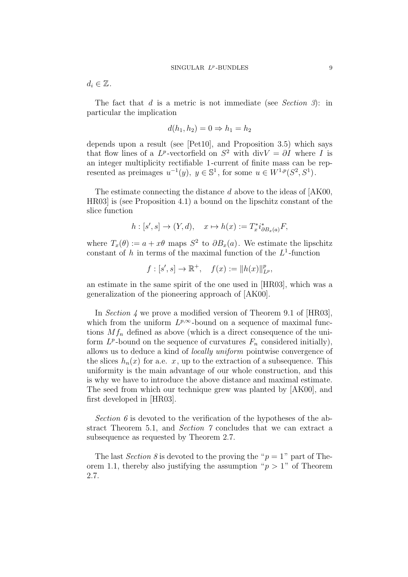$d_i \in \mathbb{Z}$ .

The fact that  $d$  is a metric is not immediate (see Section 3): in particular the implication

$$
d(h_1, h_2) = 0 \Rightarrow h_1 = h_2
$$

depends upon a result (see [Pet10], and Proposition 3.5) which says that flow lines of a  $L^p$ -vectorfield on  $S^2$  with div $V = \partial I$  where I is an integer multiplicity rectifiable 1 -current of finite mass can be represented as preimages  $u^{-1}(y), y \in \mathbb{S}^1$ , for some  $u \in W^{1,p}(S^2, S^1)$ .

The estimate connecting the distance d above to the ideas of [AK00,] HR03] is (see Proposition 4.1) a bound on the lipschitz constant of the slice function

$$
h: [s', s] \to (Y, d), \quad x \mapsto h(x) := T_x^* i_{\partial B_x(a)}^* F,
$$

where  $T_x(\theta) := a + x\theta$  maps  $S^2$  to  $\partial B_x(a)$ . We estimate the lipschitz constant of h in terms of the maximal function of the  $L^1$ -function

$$
f: [s', s] \to \mathbb{R}^+, \quad f(x) := ||h(x)||_{L^p}^p,
$$

an estimate in the same spirit of the one used in [HR03], which was a generalization of the pioneering approach of [AK00].

In *Section* 4 we prove a modified version of Theorem 9.1 of [HR03], which from the uniform  $L^{p,\infty}$ -bound on a sequence of maximal functions  $Mf_n$  defined as above (which is a direct consequence of the uniform  $L^p$ -bound on the sequence of curvatures  $F_n$  considered initially), allows us to deduce a kind of locally uniform pointwise convergence of the slices  $h_n(x)$  for a.e. x, up to the extraction of a subsequence. This uniformity is the main advantage of our whole construction, and this is why we have to introduce the above distance and maximal estimate. The seed from which our technique grew was planted by [AK00], and first developed in [HR03].

Section 6 is devoted to the verification of the hypotheses of the abstract Theorem 5.1, and Section 7 concludes that we can extract a subsequence as requested by Theorem 2.7.

The last *Section 8* is devoted to the proving the " $p = 1$ " part of Theorem 1.1, thereby also justifying the assumption " $p > 1$ " of Theorem 2.7.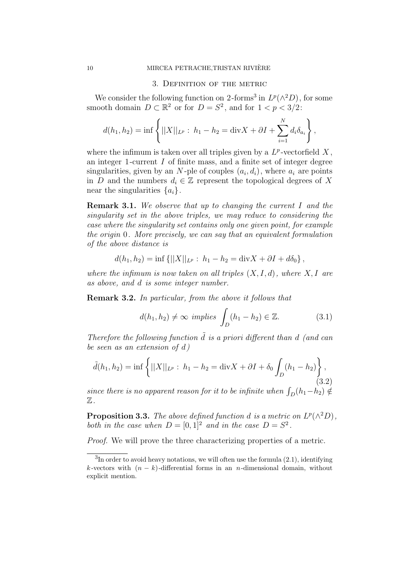#### 3. Definition of the metric

We consider the following function on 2-forms<sup>3</sup> in  $L^p(\wedge^2 D)$ , for some smooth domain  $D \subset \mathbb{R}^2$  or for  $D = S^2$ , and for  $1 < p < 3/2$ :

$$
d(h_1, h_2) = \inf \left\{ ||X||_{L^p} : h_1 - h_2 = \text{div} X + \partial I + \sum_{i=1}^N d_i \delta_{a_i} \right\},\,
$$

where the infimum is taken over all triples given by a  $L^p$ -vectorfield X, an integer 1-current  $I$  of finite mass, and a finite set of integer degree singularities, given by an N-ple of couples  $(a_i, d_i)$ , where  $a_i$  are points in D and the numbers  $d_i \in \mathbb{Z}$  represent the topological degrees of X near the singularities  $\{a_i\}$ .

Remark 3.1. We observe that up to changing the current I and the singularity set in the above triples, we may reduce to considering the case where the singularity set contains only one given point, for example the origin 0. More precisely, we can say that an equivalent formulation of the above distance is

$$
d(h_1, h_2) = \inf \{ ||X||_{L^p} : h_1 - h_2 = \text{div} X + \partial I + d\delta_0 \},
$$

where the infimum is now taken on all triples  $(X, I, d)$ , where  $X, I$  are as above, and d is some integer number.

Remark 3.2. In particular, from the above it follows that

$$
d(h_1, h_2) \neq \infty \ implies \int_D (h_1 - h_2) \in \mathbb{Z}.
$$
 (3.1)

Therefore the following function  $\tilde{d}$  is a priori different than d (and can be seen as an extension of d)

$$
\tilde{d}(h_1, h_2) = \inf \left\{ ||X||_{L^p} : h_1 - h_2 = \text{div}X + \partial I + \delta_0 \int_D (h_1 - h_2) \right\},\tag{3.2}
$$

since there is no apparent reason for it to be infinite when  $\int_D(h_1-h_2) \notin$  $\mathbb Z$  .

**Proposition 3.3.** The above defined function d is a metric on  $L^p(\wedge^2 D)$ , both in the case when  $D = [0, 1]^2$  and in the case  $D = S^2$ .

Proof. We will prove the three characterizing properties of a metric.

 ${}^{3}$ In order to avoid heavy notations, we will often use the formula  $(2.1)$ , identifying k-vectors with  $(n - k)$ -differential forms in an n-dimensional domain, without explicit mention.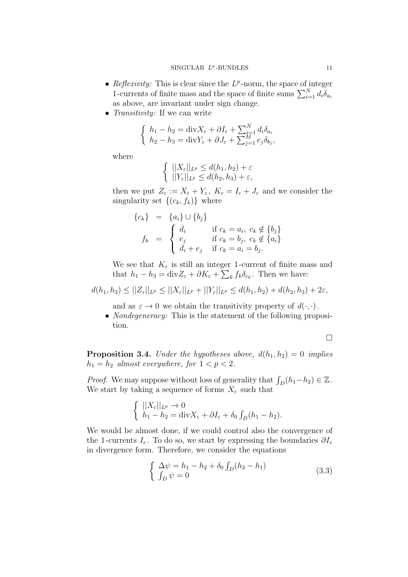- Reflexivity: This is clear since the  $L^p$ -norm, the space of integer 1-currents of finite mass and the space of finite sums  $\sum_{i=1}^{N} d_i \delta_{a_i}$ as above, are invariant under sign change.
- *Transitivity:* If we can write

$$
\begin{cases} h_1 - h_2 = \text{div}X_{\varepsilon} + \partial I_{\varepsilon} + \sum_{i=1}^N d_i \delta_{a_i} \\ h_2 - h_3 = \text{div}Y_{\varepsilon} + \partial J_{\varepsilon} + \sum_{j=1}^M e_j \delta_{b_j}, \end{cases}
$$

where

$$
\left\{ \begin{array}{l} ||X_{\varepsilon}||_{L^{p}} \leq d(h_1, h_2) + \varepsilon \\ ||Y_{\varepsilon}||_{L^{p}} \leq d(h_2, h_3) + \varepsilon, \end{array} \right.
$$

then we put  $Z_{\varepsilon} := X_{\varepsilon} + Y_{\varepsilon}, K_{\varepsilon} = I_{\varepsilon} + J_{\varepsilon}$  and we consider the singularity set  $\{(c_k, f_k)\}\$  where

$$
\begin{aligned}\n\{c_k\} &= \{a_i\} \cup \{b_j\} \\
f_k &= \begin{cases}\nd_i & \text{if } c_k = a_i, \ c_k \notin \{b_j\} \\
e_j & \text{if } c_k = b_j, \ c_k \notin \{a_i\} \\
d_i + e_j & \text{if } c_k = a_i = b_j.\n\end{cases}\n\end{aligned}
$$

We see that  $K_{\varepsilon}$  is still an integer 1-current of finite mass and that  $h_1 - h_3 = \text{div} Z_{\varepsilon} + \partial K_{\varepsilon} + \sum_k f_k \delta_{c_k}$ . Then we have:

 $d(h_1, h_3) \leq ||Z_{\varepsilon}||_{L^p} \leq ||X_{\varepsilon}||_{L^p} + ||Y_{\varepsilon}||_{L^p} \leq d(h_1, h_2) + d(h_2, h_3) + 2\varepsilon,$ 

and as  $\varepsilon \to 0$  we obtain the transitivity property of  $d(\cdot, \cdot)$ .

• *Nondegeneracy:* This is the statement of the following proposition.

$$
\Box
$$

**Proposition 3.4.** Under the hypotheses above,  $d(h_1, h_2) = 0$  implies  $h_1 = h_2$  almost everywhere, for  $1 < p < 2$ .

*Proof.* We may suppose without loss of generality that  $\int_D (h_1-h_2) \in \mathbb{Z}$ . We start by taking a sequence of forms  $X_{\varepsilon}$  such that

$$
\begin{cases} ||X_{\varepsilon}||_{L^{p}} \to 0 \\ h_{1} - h_{2} = \text{div}X_{\varepsilon} + \partial I_{\varepsilon} + \delta_{0} \int_{D} (h_{1} - h_{2}). \end{cases}
$$

We would be almost done, if we could control also the convergence of the 1-currents  $I_{\varepsilon}$ . To do so, we start by expressing the boundaries  $\partial I_{\varepsilon}$ in divergence form. Therefore, we consider the equations

$$
\begin{cases} \Delta \psi = h_1 - h_2 + \delta_0 \int_D (h_2 - h_1) \\ \int_D \psi = 0 \end{cases}
$$
 (3.3)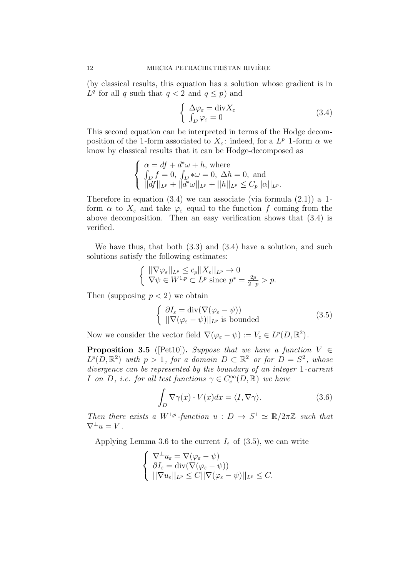(by classical results, this equation has a solution whose gradient is in  $L^q$  for all q such that  $q < 2$  and  $q \leq p$ ) and

$$
\begin{cases}\n\Delta \varphi_{\varepsilon} = \text{div} X_{\varepsilon} \\
\int_{D} \varphi_{\varepsilon} = 0\n\end{cases}
$$
\n(3.4)

This second equation can be interpreted in terms of the Hodge decomposition of the 1-form associated to  $X_{\varepsilon}$ : indeed, for a  $L^{p}$  1-form  $\alpha$  we know by classical results that it can be Hodge-decomposed as

$$
\begin{cases} \alpha = df + d^*\omega + h, \text{ where} \\ \int_D f = 0, \int_D * \omega = 0, \Delta h = 0, \text{ and} \\ ||df||_{L^p} + ||d^*\omega||_{L^p} + ||h||_{L^p} \le C_p ||\alpha||_{L^p}. \end{cases}
$$

Therefore in equation  $(3.4)$  we can associate (via formula  $(2.1)$ ) a 1form  $\alpha$  to  $X_{\varepsilon}$  and take  $\varphi_{\varepsilon}$  equal to the function f coming from the above decomposition. Then an easy verification shows that (3.4) is verified.

We have thus, that both (3.3) and (3.4) have a solution, and such solutions satisfy the following estimates:

$$
\begin{cases} \|\nabla \varphi_{\varepsilon}\|_{L^p} \leq c_p \|X_{\varepsilon}\|_{L^p} \to 0 \\ \nabla \psi \in W^{1,p} \subset L^p \text{ since } p^* = \frac{2p}{2-p} > p. \end{cases}
$$

Then (supposing  $p < 2$ ) we obtain

$$
\begin{cases} \partial I_{\varepsilon} = \operatorname{div}(\nabla(\varphi_{\varepsilon} - \psi)) \\ ||\nabla(\varphi_{\varepsilon} - \psi)||_{L^{p}} \text{ is bounded} \end{cases}
$$
 (3.5)

Now we consider the vector field  $\nabla(\varphi_{\varepsilon} - \psi) := V_{\varepsilon} \in L^p(D, \mathbb{R}^2)$ .

**Proposition 3.5** ([Pet10]). Suppose that we have a function  $V \in$  $L^p(D,\mathbb{R}^2)$  with  $p>1$ , for a domain  $D \subset \mathbb{R}^2$  or for  $D=S^2$ , whose divergence can be represented by the boundary of an integer 1-current *I* on *D*, *i.e.* for all test functions  $\gamma \in C_c^{\infty}(D,\mathbb{R})$  we have

$$
\int_{D} \nabla \gamma(x) \cdot V(x) dx = \langle I, \nabla \gamma \rangle.
$$
 (3.6)

Then there exists a  $W^{1,p}$ -function  $u : D \to S^1 \simeq \mathbb{R}/2\pi\mathbb{Z}$  such that  $\nabla^{\perp}u=V$ .

Applying Lemma 3.6 to the current  $I_{\varepsilon}$  of (3.5), we can write

$$
\begin{cases} \nabla^{\perp} u_{\varepsilon} = \nabla (\varphi_{\varepsilon} - \psi) \\ \n\partial I_{\varepsilon} = \text{div} (\nabla (\varphi_{\varepsilon} - \psi)) \\ \n\|\nabla u_{\varepsilon}\|_{L^p} \leq C \|\nabla (\varphi_{\varepsilon} - \psi)\|_{L^p} \leq C. \n\end{cases}
$$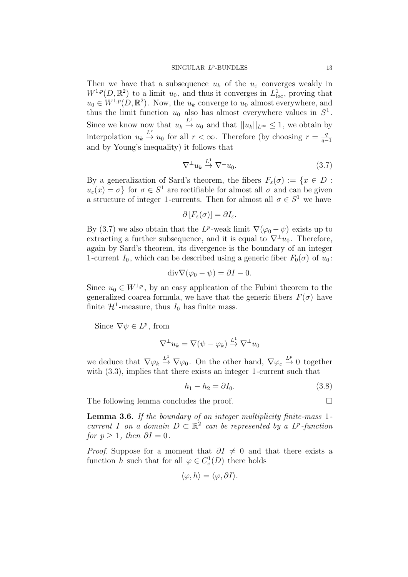#### $SINGULAR$   $L^p$ -BUNDLES 13

Then we have that a subsequence  $u_k$  of the  $u_{\varepsilon}$  converges weakly in  $W^{1,p}(D,\mathbb{R}^2)$  to a limit  $u_0$ , and thus it converges in  $L^1_{loc}$ , proving that  $u_0 \in W^{1,p}(D,\mathbb{R}^2)$ . Now, the  $u_k$  converge to  $u_0$  almost everywhere, and thus the limit function  $u_0$  also has almost everywhere values in  $S^1$ . Since we know now that  $u_k \stackrel{L^1}{\rightarrow} u_0$  and that  $||u_k||_{L^{\infty}} \leq 1$ , we obtain by interpolation  $u_k \stackrel{L^r}{\rightarrow} u_0$  for all  $r < \infty$ . Therefore (by choosing  $r = \frac{q}{q}$ )  $q-1$ and by Young's inequality) it follows that

$$
\nabla^{\perp} u_k \stackrel{L^1}{\to} \nabla^{\perp} u_0. \tag{3.7}
$$

By a generalization of Sard's theorem, the fibers  $F_{\varepsilon}(\sigma) := \{x \in D :$  $u_{\varepsilon}(x) = \sigma$  for  $\sigma \in S^1$  are rectifiable for almost all  $\sigma$  and can be given a structure of integer 1-currents. Then for almost all  $\sigma \in S^1$  we have

$$
\partial [F_{\varepsilon}(\sigma)] = \partial I_{\varepsilon}.
$$

By (3.7) we also obtain that the  $L^p$ -weak limit  $\nabla(\varphi_0 - \psi)$  exists up to extracting a further subsequence, and it is equal to  $\nabla^{\perp} u_0$ . Therefore, again by Sard's theorem, its divergence is the boundary of an integer 1-current  $I_0$ , which can be described using a generic fiber  $F_0(\sigma)$  of  $u_0$ :

$$
\mathrm{div}\nabla(\varphi_0-\psi)=\partial I-0.
$$

Since  $u_0 \in W^{1,p}$ , by an easy application of the Fubini theorem to the generalized coarea formula, we have that the generic fibers  $F(\sigma)$  have finite  $\mathcal{H}^1$ -measure, thus  $I_0$  has finite mass.

Since  $\nabla \psi \in L^p$ , from

$$
\nabla^{\perp} u_k = \nabla (\psi - \varphi_k) \stackrel{L^1}{\to} \nabla^{\perp} u_0
$$

we deduce that  $\nabla \varphi_k \stackrel{L^1}{\to} \nabla \varphi_0$ . On the other hand,  $\nabla \varphi_\varepsilon \stackrel{L^p}{\to} 0$  together with  $(3.3)$ , implies that there exists an integer 1-current such that

$$
h_1 - h_2 = \partial I_0. \tag{3.8}
$$

The following lemma concludes the proof.

Lemma 3.6. If the boundary of an integer multiplicity finite-mass 1current I on a domain  $D \subset \mathbb{R}^2$  can be represented by a  $L^p$ -function for  $p \geq 1$ , then  $\partial I = 0$ .

*Proof.* Suppose for a moment that  $\partial I \neq 0$  and that there exists a function h such that for all  $\varphi \in C_c^1(D)$  there holds

$$
\langle \varphi, h \rangle = \langle \varphi, \partial I \rangle.
$$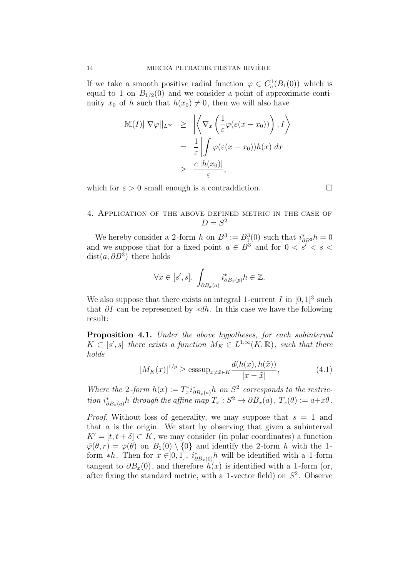If we take a smooth positive radial function  $\varphi \in C_c^1(B_1(0))$  which is equal to 1 on  $B_{1/2}(0)$  and we consider a point of approximate continuity  $x_0$  of h such that  $h(x_0) \neq 0$ , then we will also have

$$
M(I)||\nabla \varphi||_{L^{\infty}} \geq \left| \left\langle \nabla_x \left( \frac{1}{\varepsilon} \varphi(\varepsilon(x - x_0)) \right), I \right\rangle \right|
$$
  

$$
= \frac{1}{\varepsilon} \left| \int \varphi(\varepsilon(x - x_0)) h(x) dx \right|
$$
  

$$
\geq \frac{c |h(x_0)|}{\varepsilon},
$$

which for  $\varepsilon > 0$  small enough is a contraddiction.

# 4. Application of the above defined metric in the case of  $D = S^2$

We hereby consider a 2-form h on  $B^3 := B_1^3(0)$  such that  $i_{\partial B^3}^* h = 0$ and we suppose that for a fixed point  $a \in B^3$  and for  $0 < s' < s <$ dist $(a, \partial B^3)$  there holds

$$
\forall x \in [s', s], \int_{\partial B_x(a)} i^*_{\partial B_x(p)} h \in \mathbb{Z}.
$$

We also suppose that there exists an integral 1-current I in  $[0, 1]^3$  such that  $\partial I$  can be represented by \*dh. In this case we have the following result:

Proposition 4.1. Under the above hypotheses, for each subinterval  $K \subset [s', s]$  there exists a function  $M_K \in L^{1,\infty}(K, \mathbb{R})$ , such that there holds

$$
[M_K(x)]^{1/p} \ge \operatorname{esssup}_{x \ne \tilde{x} \in K} \frac{d(h(x), h(\tilde{x}))}{|x - \tilde{x}|},\tag{4.1}
$$

Where the 2-form  $h(x) := T_x^* i_{\partial B_x(a)}^* h$  on  $S^2$  corresponds to the restriction  $i^*_{\partial B_x(a)}h$  through the affine map  $T_x : S^2 \to \partial B_x(a)$ ,  $T_x(\theta) := a+x\theta$ .

*Proof.* Without loss of generality, we may suppose that  $s = 1$  and that  $a$  is the origin. We start by observing that given a subinterval  $K' = [t, t + \delta] \subset K$ , we may consider (in polar coordinates) a function  $\overline{\varphi}(\theta, r) = \varphi(\theta)$  on  $B_1(0) \setminus \{0\}$  and identify the 2-form h with the 1form \*h. Then for  $x \in ]0,1]$ ,  $i^*_{\partial B_x(0)}h$  will be identified with a 1-form tangent to  $\partial B_x(0)$ , and therefore  $h(x)$  is identified with a 1-form (or, after fixing the standard metric, with a 1-vector field) on  $S^2$ . Observe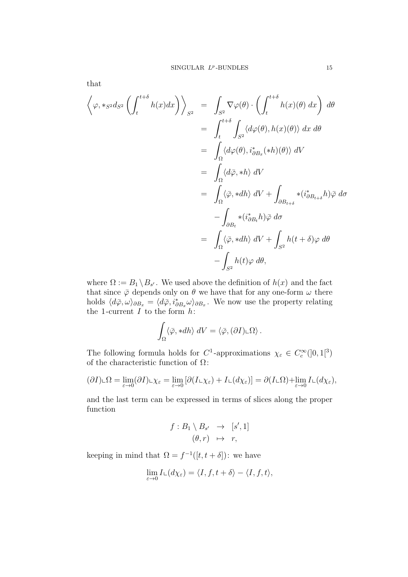that

$$
\left\langle \varphi, *_{S^2} d_{S^2} \left( \int_t^{t+\delta} h(x) dx \right) \right\rangle_{S^2} = \int_{S^2} \nabla \varphi(\theta) \cdot \left( \int_t^{t+\delta} h(x)(\theta) dx \right) d\theta
$$
  
\n
$$
= \int_t^{t+\delta} \int_{S^2} \langle d\varphi(\theta), h(x)(\theta) \rangle dx d\theta
$$
  
\n
$$
= \int_{\Omega} \langle d\varphi(\theta), i^*_{\partial B_x}(*h)(\theta) \rangle dV
$$
  
\n
$$
= \int_{\Omega} \langle d\bar{\varphi}, *h \rangle dV
$$
  
\n
$$
= \int_{\Omega} \langle \bar{\varphi}, *dh \rangle dV + \int_{\partial B_{t+\delta}} * (i^*_{\partial B_{t+\delta}} h) \bar{\varphi} d\sigma
$$
  
\n
$$
- \int_{\partial B_t} * (i^*_{\partial B_t} h) \bar{\varphi} d\sigma
$$
  
\n
$$
= \int_{\Omega} \langle \bar{\varphi}, *dh \rangle dV + \int_{S^2} h(t+\delta) \varphi d\theta
$$
  
\n
$$
- \int_{S^2} h(t) \varphi d\theta,
$$

where  $\Omega := B_1 \setminus B_{s'}$ . We used above the definition of  $h(x)$  and the fact that since  $\bar{\varphi}$  depends only on  $\theta$  we have that for any one-form  $\omega$  there holds  $\langle d\bar{\varphi}, \omega \rangle_{\partial B_x} = \langle d\bar{\varphi}, i^*_{\partial B_x} \omega \rangle_{\partial B_x}$ . We now use the property relating the 1-current  $I$  to the form  $h$ :

$$
\int_{\Omega} \langle \bar{\varphi}, *dh \rangle \ dV = \langle \bar{\varphi}, (\partial I) \llcorner \Omega \rangle \, .
$$

The following formula holds for  $C^1$ -approximations  $\chi_{\varepsilon} \in C_c^{\infty}(]0,1[^3)$ of the characteristic function of  $\Omega$ :

$$
(\partial I) \llcorner \Omega = \lim_{\varepsilon \to 0} (\partial I) \llcorner \chi_{\varepsilon} = \lim_{\varepsilon \to 0} [\partial (I \llcorner \chi_{\varepsilon}) + I \llcorner (d \chi_{\varepsilon})] = \partial (I \llcorner \Omega) + \lim_{\varepsilon \to 0} I \llcorner (d \chi_{\varepsilon}),
$$

and the last term can be expressed in terms of slices along the proper function

$$
f: B_1 \setminus B_{s'} \rightarrow [s', 1]
$$

$$
(\theta, r) \mapsto r,
$$

keeping in mind that  $\Omega = f^{-1}([t, t + \delta])$ : we have

$$
\lim_{\varepsilon \to 0} I \llcorner (d \chi_{\varepsilon}) = \langle I, f, t+\delta \rangle - \langle I, f, t \rangle,
$$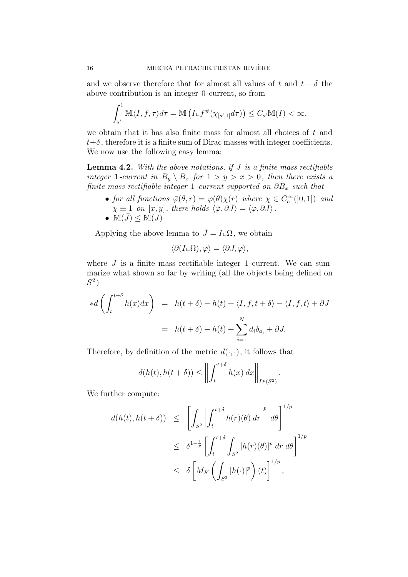and we observe therefore that for almost all values of t and  $t + \delta$  the above contribution is an integer 0 -current, so from

$$
\int_{s'}^{1} \mathbb{M}\langle I,f,\tau\rangle d\tau = \mathbb{M}\left(I\llcorner f^{\#}(\chi_{[s',1]}d\tau)\right) \leq C_{s'}\mathbb{M}(I) < \infty,
$$

we obtain that it has also finite mass for almost all choices of t and  $t+\delta$ , therefore it is a finite sum of Dirac masses with integer coefficients. We now use the following easy lemma:

**Lemma 4.2.** With the above notations, if  $\overline{J}$  is a finite mass rectifiable integer 1-current in  $B_y \setminus B_x$  for  $1 > y > x > 0$ , then there exists a finite mass rectifiable integer 1-current supported on  $\partial B_x$  such that

- for all functions  $\overline{\varphi}(\theta, r) = \varphi(\theta)\chi(r)$  where  $\chi \in C_c^{\infty}(]0, 1]$  and  $\chi \equiv 1$  on  $[x, y]$ , there holds  $\langle \overline{\varphi}, \partial \overline{J} \rangle = \langle \varphi, \partial \overline{J} \rangle$ ,
- $\mathbb{M}(\bar{J}) \leq \mathbb{M}(J)$

Applying the above lemma to  $\bar{J} = I \llcorner \Omega$ , we obtain

$$
\langle \partial (I \llcorner \Omega), \bar{\varphi} \rangle = \langle \partial J, \varphi \rangle,
$$

where  $J$  is a finite mass rectifiable integer 1-current. We can summarize what shown so far by writing (all the objects being defined on  $S^2$ )

$$
*d\left(\int_{t}^{t+\delta} h(x)dx\right) = h(t+\delta) - h(t) + \langle I, f, t+\delta \rangle - \langle I, f, t \rangle + \partial J
$$

$$
= h(t+\delta) - h(t) + \sum_{i=1}^{N} d_{i}\delta_{a_{i}} + \partial J.
$$

Therefore, by definition of the metric  $d(\cdot, \cdot)$ , it follows that

$$
d(h(t), h(t+\delta)) \leq \left\| \int_{t}^{t+\delta} h(x) \, dx \right\|_{L^{p}(S^{2})}.
$$

We further compute:

$$
d(h(t), h(t + \delta)) \leq \left[ \int_{S^2} \left| \int_t^{t+\delta} h(r)(\theta) dr \right|^p d\theta \right]^{1/p}
$$
  

$$
\leq \delta^{1-\frac{1}{p}} \left[ \int_t^{t+\delta} \int_{S^2} |h(r)(\theta)|^p dr d\theta \right]^{1/p}
$$
  

$$
\leq \delta \left[ M_K \left( \int_{S^2} |h(\cdot)|^p \right) (t) \right]^{1/p},
$$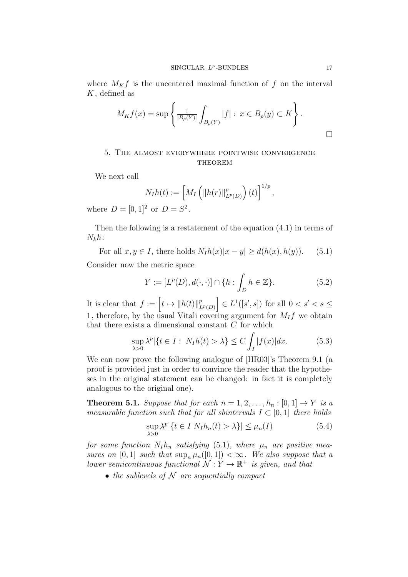where  $M_K f$  is the uncentered maximal function of f on the interval  $K$ , defined as

$$
M_K f(x) = \sup \left\{ \frac{1}{|B_{\rho}(Y)|} \int_{B_{\rho}(Y)} |f| : x \in B_{\rho}(y) \subset K \right\}.
$$

# 5. The almost everywhere pointwise convergence **THEOREM**

We next call

$$
N_I h(t) := \left[ M_I \left( \|h(r)\|_{L^p(D)}^p \right) (t) \right]^{1/p},
$$

where  $D = [0, 1]^2$  or  $D = S^2$ .

Then the following is a restatement of the equation (4.1) in terms of  $N_k h$ :

For all  $x, y \in I$ , there holds  $N_I h(x)|x - y| > d(h(x), h(y))$ . (5.1) Consider now the metric space

$$
Y := [L^{p}(D), d(\cdot, \cdot)] \cap \{h : \int_{D} h \in \mathbb{Z}\}.
$$
 (5.2)

It is clear that  $f := \left[t \mapsto ||h(t)||_{I}^{p}\right]$  $\left[\begin{array}{c} p \ L^p(D) \end{array}\right] \in L^1([s', s])$  for all  $0 < s' < s \leq$ 1, therefore, by the usual Vitali covering argument for  $M_I f$  we obtain that there exists a dimensional constant  $C$  for which

$$
\sup_{\lambda>0} \lambda^p |\{t \in I : N_I h(t) > \lambda\} \le C \int_I |f(x)| dx.
$$
 (5.3)

We can now prove the following analogue of [HR03]'s Theorem 9.1 (a proof is provided just in order to convince the reader that the hypotheses in the original statement can be changed: in fact it is completely analogous to the original one).

**Theorem 5.1.** Suppose that for each  $n = 1, 2, ..., h_n : [0, 1] \rightarrow Y$  is a measurable function such that for all sbintervals  $I \subset [0,1]$  there holds

$$
\sup_{\lambda>0} \lambda^p |\{t \in I \ N_I h_n(t) > \lambda\}| \le \mu_n(I) \tag{5.4}
$$

for some function  $N_I h_n$  satisfying (5.1), where  $\mu_n$  are positive measures on  $[0, 1]$  such that  $\sup_n \mu_n([0, 1]) < \infty$ . We also suppose that a lower semicontinuous functional  $\mathcal{N}: Y \to \mathbb{R}^+$  is given, and that

• the sublevels of  $N$  are sequentially compact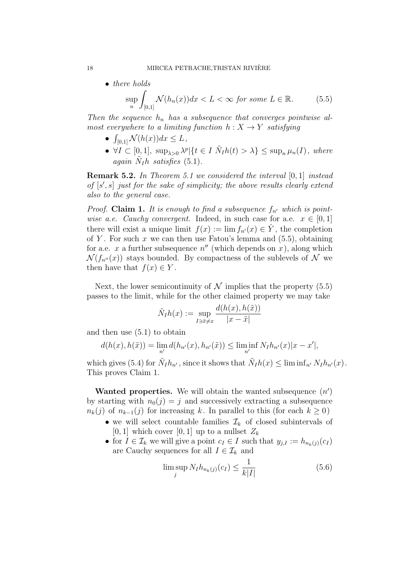• there holds  
\n
$$
\sup_{n} \int_{[0,1]} \mathcal{N}(h_n(x)) dx < L < \infty \text{ for some } L \in \mathbb{R}.
$$
\n(5.5)

Then the sequence  $h_n$  has a subsequence that converges pointwise almost everywhere to a limiting function  $h: X \to Y$  satisfying

- $\int_{[0,1]} \mathcal{N}(h(x))dx \leq L,$
- $\forall I \subset [0,1], \ \sup_{\lambda>0} \lambda^p | \{ t \in I \ \tilde{N}_I h(t) > \lambda \} \leq \sup_n \mu_n(I), \ where$ again  $\tilde{N}_I h$  satisfies (5.1).

**Remark 5.2.** In Theorem 5.1 we considered the interval [0, 1] instead of  $[s', s]$  just for the sake of simplicity; the above results clearly extend also to the general case.

*Proof.* Claim 1. It is enough to find a subsequence  $f_{n'}$  which is pointwise a.e. Cauchy convergent. Indeed, in such case for a.e.  $x \in [0,1]$ there will exist a unique limit  $f(x) := \lim f_{n}(x) \in \hat{Y}$ , the completion of Y. For such x we can then use Fatou's lemma and  $(5.5)$ , obtaining for a.e. x a further subsequence  $n''$  (which depends on x), along which  $\mathcal{N}(f_{n^{\prime\prime}}(x))$  stays bounded. By compactness of the sublevels of N we then have that  $f(x) \in Y$ .

Next, the lower semicontinuity of  $N$  implies that the property (5.5) passes to the limit, while for the other claimed property we may take

$$
\tilde{N}_I h(x) := \sup_{I \ni \tilde{x} \neq x} \frac{d(h(x), h(\tilde{x}))}{|x - \tilde{x}|}
$$

and then use (5.1) to obtain

$$
d(h(x), h(\tilde{x})) = \lim_{n'} d(h_{n'}(x), h_{n'}(\tilde{x})) \le \liminf_{n'} N_I h_{n'}(x) |x - x'|,
$$

which gives (5.4) for  $\tilde{N}_I h_{n'}$ , since it shows that  $\tilde{N}_I h(x) \leq \liminf_{n'} N_I h_{n'}(x)$ . This proves Claim 1.

Wanted properties. We will obtain the wanted subsequence  $(n')$ by starting with  $n_0(i) = i$  and successively extracting a subsequence  $n_k(j)$  of  $n_{k-1}(j)$  for increasing k. In parallel to this (for each  $k \geq 0$ )

- we will select countable families  $\mathcal{I}_k$  of closed subintervals of [0, 1] which cover [0, 1] up to a nullset  $Z_k$
- for  $I \in \mathcal{I}_k$  we will give a point  $c_I \in I$  such that  $y_{j,I} := h_{n_k(j)}(c_I)$ are Cauchy sequences for all  $I \in \mathcal{I}_k$  and

$$
\limsup_{j} N_{I} h_{n_{k}(j)}(c_{I}) \leq \frac{1}{k|I|} \tag{5.6}
$$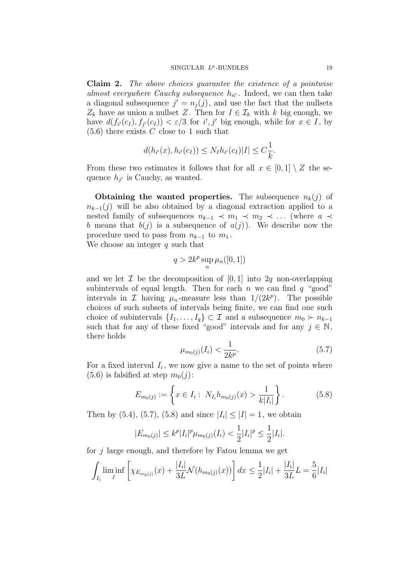Claim 2. The above choices guarantee the existence of a pointwise almost everywhere Cauchy subsequence  $h_{n'}$ . Indeed, we can then take a diagonal subsequence  $j' = n_j(j)$ , and use the fact that the nullsets  $Z_k$  have as union a nullset Z. Then for  $I \in \mathcal{I}_k$  with k big enough, we have  $d(f_{i'}(c_I), f_{j'}(c_I)) < \varepsilon/3$  for  $i', j'$  big enough, while for  $x \in I$ , by  $(5.6)$  there exists C close to 1 such that

$$
d(h_{i'}(x), h_{i'}(c_I)) \le N_I h_{i'}(c_I) |I| \le C \frac{1}{k}.
$$

From these two estimates it follows that for all  $x \in [0,1] \setminus Z$  the sequence  $h_{j'}$  is Cauchy, as wanted.

Obtaining the wanted properties. The subsequence  $n_k(j)$  of  $n_{k-1}(j)$  will be also obtained by a diagonal extraction applied to a nested family of subsequences  $n_{k-1}$   $\prec m_1$   $\prec m_2$   $\prec \dots$  (where  $a \prec$ b means that  $b(j)$  is a subsequence of  $a(j)$ ). We describe now the procedure used to pass from  $n_{k-1}$  to  $m_1$ .

We choose an integer  $q$  such that

$$
q>2k^p\sup_n\mu_n([0,1])
$$

and we let  $\mathcal I$  be the decomposition of  $[0, 1]$  into  $2q$  non-overlapping subintervals of equal length. Then for each n we can find  $q$  "good" intervals in  $\mathcal I$  having  $\mu_n$ -measure less than  $1/(2k^p)$ . The possible choices of such subsets of intervals being finite, we can find one such choice of subintervals  $\{I_1, \ldots, I_q\} \subset \mathcal{I}$  and a subsequence  $m_0 \succ n_{k-1}$ such that for any of these fixed "good" intervals and for any  $j \in \mathbb{N}$ , there holds

$$
\mu_{m_0(j)}(I_i) < \frac{1}{2k^p}.\tag{5.7}
$$

For a fixed interval  $I_i$ , we now give a name to the set of points where  $(5.6)$  is falsified at step  $m_0(j)$ :

$$
E_{m_0(j)} := \left\{ x \in I_i : N_{I_i} h_{m_0(j)}(x) > \frac{1}{k|I_i|} \right\}.
$$
 (5.8)

Then by (5.4), (5.7), (5.8) and since  $|I_i| \leq |I| = 1$ , we obtain

$$
|E_{m_0(j)}| \le k^p |I_i|^p \mu_{m_0(j)}(I_i) < \frac{1}{2} |I_i|^p \le \frac{1}{2} |I_i|.
$$

for  $j$  large enough, and therefore by Fatou lemma we get

$$
\int_{I_i} \liminf_j \left[ \chi_{E_{m_0(j)}}(x) + \frac{|I_i|}{3L} \mathcal{N}(h_{m_0(j)}(x)) \right] dx \le \frac{1}{2} |I_i| + \frac{|I_i|}{3L} L = \frac{5}{6} |I_i|
$$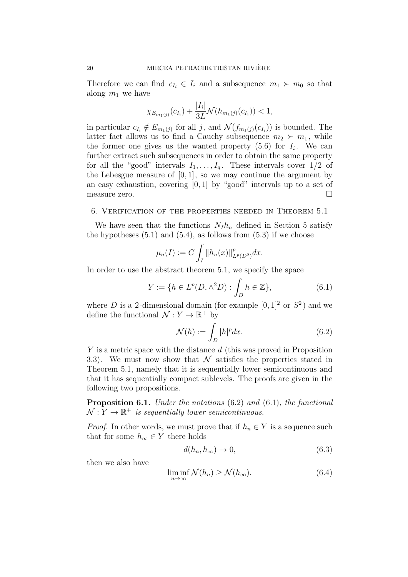Therefore we can find  $c_{I_i} \in I_i$  and a subsequence  $m_1 \succ m_0$  so that along  $m_1$  we have

$$
\chi_{E_{m_1(j)}}(c_{I_i}) + \frac{|I_i|}{3L} \mathcal{N}(h_{m_1(j)}(c_{I_i})) < 1,
$$

in particular  $c_{I_i} \notin E_{m_1(j)}$  for all j, and  $\mathcal{N}(f_{m_1(j)}(c_{I_i}))$  is bounded. The latter fact allows us to find a Cauchy subsequence  $m_2 \succ m_1$ , while the former one gives us the wanted property  $(5.6)$  for  $I_i$ . We can further extract such subsequences in order to obtain the same property for all the "good" intervals  $I_1, \ldots, I_q$ . These intervals cover  $1/2$  of the Lebesgue measure of  $[0, 1]$ , so we may continue the argument by an easy exhaustion, covering  $[0, 1]$  by "good" intervals up to a set of measure zero.

#### 6. Verification of the properties needed in Theorem 5.1

We have seen that the functions  $N_I h_n$  defined in Section 5 satisfy the hypotheses  $(5.1)$  and  $(5.4)$ , as follows from  $(5.3)$  if we choose

$$
\mu_n(I) := C \int_I \|h_n(x)\|_{L^p(D^2)}^p dx.
$$

In order to use the abstract theorem 5.1, we specify the space

$$
Y := \{ h \in L^p(D, \wedge^2 D) : \int_D h \in \mathbb{Z} \},
$$
\n(6.1)

where D is a 2-dimensional domain (for example  $[0,1]^2$  or  $S^2$ ) and we define the functional  $\mathcal{N}: Y \to \mathbb{R}^+$  by

$$
\mathcal{N}(h) := \int_{D} |h|^p dx. \tag{6.2}
$$

Y is a metric space with the distance d (this was proved in Proposition 3.3). We must now show that  $\mathcal N$  satisfies the properties stated in Theorem 5.1, namely that it is sequentially lower semicontinuous and that it has sequentially compact sublevels. The proofs are given in the following two propositions.

Proposition 6.1. Under the notations  $(6.2)$  and  $(6.1)$ , the functional  $\mathcal{N}: Y \to \mathbb{R}^+$  is sequentially lower semicontinuous.

*Proof.* In other words, we must prove that if  $h_n \in Y$  is a sequence such that for some  $h_{\infty} \in Y$  there holds

$$
d(h_n, h_\infty) \to 0,\tag{6.3}
$$

then we also have

$$
\liminf_{n \to \infty} \mathcal{N}(h_n) \ge \mathcal{N}(h_\infty). \tag{6.4}
$$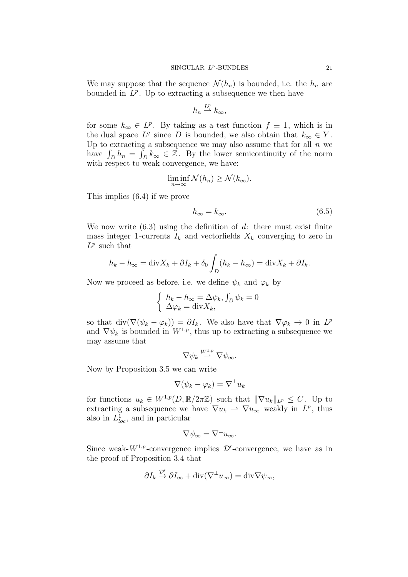We may suppose that the sequence  $\mathcal{N}(h_n)$  is bounded, i.e. the  $h_n$  are bounded in  $L^p$ . Up to extracting a subsequence we then have

$$
h_n \stackrel{L^p}{\rightharpoonup} k_\infty,
$$

for some  $k_{\infty} \in L^p$ . By taking as a test function  $f \equiv 1$ , which is in the dual space  $L^q$  since D is bounded, we also obtain that  $k_{\infty} \in Y$ . Up to extracting a subsequence we may also assume that for all  $n$  we have  $\int_D h_n = \overline{\int}_D k_\infty \in \mathbb{Z}$ . By the lower semicontinuity of the norm with respect to weak convergence, we have:

$$
\liminf_{n \to \infty} \mathcal{N}(h_n) \ge \mathcal{N}(k_{\infty}).
$$

This implies (6.4) if we prove

$$
h_{\infty} = k_{\infty}.\tag{6.5}
$$

We now write  $(6.3)$  using the definition of d: there must exist finite mass integer 1-currents  $I_k$  and vectorfields  $X_k$  converging to zero in  $L^p$  such that

$$
h_k - h_{\infty} = \text{div}X_k + \partial I_k + \delta_0 \int_D (h_k - h_{\infty}) = \text{div}X_k + \partial I_k.
$$

Now we proceed as before, i.e. we define  $\psi_k$  and  $\varphi_k$  by

$$
\begin{cases} h_k - h_\infty = \Delta \psi_k, \int_D \psi_k = 0 \\ \Delta \varphi_k = \text{div} X_k, \end{cases}
$$

so that  $\text{div}(\nabla(\psi_k - \varphi_k)) = \partial I_k$ . We also have that  $\nabla \varphi_k \to 0$  in  $L^p$ and  $\nabla \psi_k$  is bounded in  $W^{1,p}$ , thus up to extracting a subsequence we may assume that

$$
\nabla \psi_k \stackrel{W^{1,p}}{\rightharpoonup} \nabla \psi_\infty.
$$

Now by Proposition 3.5 we can write

$$
\nabla(\psi_k - \varphi_k) = \nabla^{\perp} u_k
$$

for functions  $u_k \in W^{1,p}(D,\mathbb{R}/2\pi\mathbb{Z})$  such that  $\|\nabla u_k\|_{L^p} \leq C$ . Up to extracting a subsequence we have  $\nabla u_k \rightharpoonup \nabla u_\infty$  weakly in  $L^p$ , thus also in  $L^1_{loc}$ , and in particular

$$
\nabla \psi_{\infty} = \nabla^{\perp} u_{\infty}.
$$

Since weak- $W^{1,p}$ -convergence implies  $\mathcal{D}'$ -convergence, we have as in the proof of Proposition 3.4 that

$$
\partial I_k \stackrel{\mathcal{D}'}{\rightarrow} \partial I_{\infty} + \text{div}(\nabla^{\perp} u_{\infty}) = \text{div}\nabla \psi_{\infty},
$$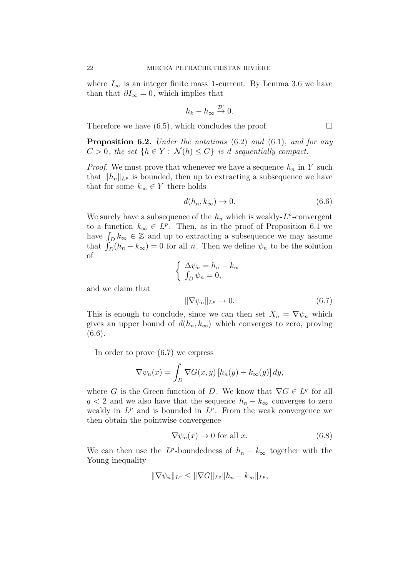where  $I_{\infty}$  is an integer finite mass 1-current. By Lemma 3.6 we have than that  $\partial I_{\infty} = 0$ , which implies that

$$
h_k - h_{\infty} \stackrel{\mathcal{D}'}{\rightarrow} 0.
$$

Therefore we have  $(6.5)$ , which concludes the proof.  $\Box$ 

**Proposition 6.2.** Under the notations  $(6.2)$  and  $(6.1)$ , and for any  $C > 0$ , the set  $\{h \in Y : \mathcal{N}(h) \leq C\}$  is d-sequentially compact.

*Proof.* We must prove that whenever we have a sequence  $h_n$  in Y such that  $||h_n||_{L^p}$  is bounded, then up to extracting a subsequence we have that for some  $k_{\infty} \in Y$  there holds

$$
d(h_n, k_\infty) \to 0. \tag{6.6}
$$

We surely have a subsequence of the  $h_n$  which is weakly- $L^p$ -convergent to a function  $k_{\infty} \in L^p$ . Then, as in the proof of Proposition 6.1 we have  $\int_D k_\infty \in \mathbb{Z}$  and up to extracting a subsequence we may assume that  $\int_D (h_n - k_\infty) = 0$  for all n. Then we define  $\psi_n$  to be the solution of

$$
\begin{cases}\n\Delta \psi_n = h_n - k_\infty \\
\int_D \psi_n = 0,\n\end{cases}
$$
\n
$$
\|\nabla \psi_n\|_{L^p} \to 0.
$$
\n(6.7)

This is enough to conclude, since we can then set  $X_n = \nabla \psi_n$  which gives an upper bound of  $d(h_n, k_\infty)$  which converges to zero, proving (6.6).

In order to prove (6.7) we express

and we claim that

$$
\nabla \psi_n(x) = \int_D \nabla G(x, y) \left[ h_n(y) - k_\infty(y) \right] dy,
$$

where G is the Green function of D. We know that  $\nabla G \in L^q$  for all  $q < 2$  and we also have that the sequence  $h_n - k_{\infty}$  converges to zero weakly in  $L^p$  and is bounded in  $L^p$ . From the weak convergence we then obtain the pointwise convergence

$$
\nabla \psi_n(x) \to 0 \text{ for all } x. \tag{6.8}
$$

We can then use the  $L^p$ -boundedness of  $h_n - k_\infty$  together with the Young inequality

$$
\|\nabla \psi_n\|_{L^r} \le \|\nabla G\|_{L^q} \|h_n - k_\infty\|_{L^p},
$$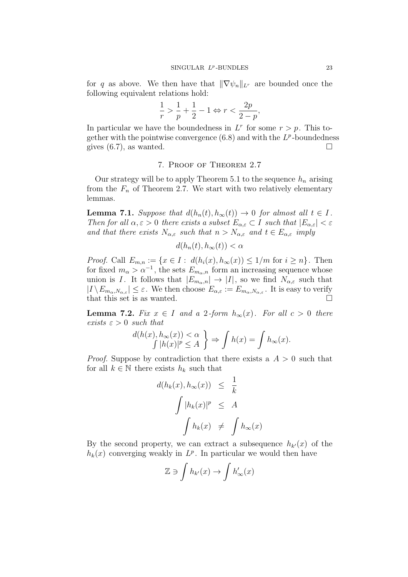for q as above. We then have that  $\|\nabla \psi_n\|_{L^r}$  are bounded once the following equivalent relations hold:

$$
\frac{1}{r} > \frac{1}{p} + \frac{1}{2} - 1 \Leftrightarrow r < \frac{2p}{2-p},
$$

In particular we have the boundedness in  $L^r$  for some  $r > p$ . This together with the pointwise convergence  $(6.8)$  and with the  $L^p$ -boundedness gives  $(6.7)$ , as wanted.

# 7. Proof of Theorem 2.7

Our strategy will be to apply Theorem 5.1 to the sequence  $h_n$  arising from the  $F_n$  of Theorem 2.7. We start with two relatively elementary lemmas.

**Lemma 7.1.** Suppose that  $d(h_n(t), h_\infty(t)) \to 0$  for almost all  $t \in I$ . Then for all  $\alpha, \varepsilon > 0$  there exists a subset  $E_{\alpha,\varepsilon} \subset I$  such that  $|E_{\alpha,\varepsilon}| < \varepsilon$ and that there exists  $N_{\alpha,\varepsilon}$  such that  $n > N_{\alpha,\varepsilon}$  and  $t \in E_{\alpha,\varepsilon}$  imply

$$
d(h_n(t), h_\infty(t)) < \alpha
$$

*Proof.* Call  $E_{m,n} := \{x \in I : d(h_i(x), h_\infty(x)) \leq 1/m \text{ for } i \geq n\}.$  Then for fixed  $m_{\alpha} > \alpha^{-1}$ , the sets  $E_{m_{\alpha},n}$  form an increasing sequence whose union is I. It follows that  $|E_{m_\alpha,n}| \to |I|$ , so we find  $N_{\alpha,\varepsilon}$  such that  $|I \setminus E_{m_\alpha, N_{\alpha,\varepsilon}}| \leq \varepsilon$ . We then choose  $E_{\alpha,\varepsilon} := E_{m_\alpha, N_{\alpha,\varepsilon}}$ . It is easy to verify that this set is as wanted.  $\Box$ 

**Lemma 7.2.** Fix  $x \in I$  and a 2-form  $h_{\infty}(x)$ . For all  $c > 0$  there exists  $\varepsilon > 0$  such that

$$
\frac{d(h(x), h_{\infty}(x)) < \alpha}{\int |h(x)|^p \le A} \Rightarrow \int h(x) = \int h_{\infty}(x).
$$

*Proof.* Suppose by contradiction that there exists a  $A > 0$  such that for all  $k \in \mathbb{N}$  there exists  $h_k$  such that

$$
d(h_k(x), h_\infty(x)) \leq \frac{1}{k}
$$
  

$$
\int |h_k(x)|^p \leq A
$$
  

$$
\int h_k(x) \neq \int h_\infty(x)
$$

By the second property, we can extract a subsequence  $h_{k'}(x)$  of the  $h_k(x)$  converging weakly in  $L^p$ . In particular we would then have

$$
\mathbb{Z} \ni \int h_{k'}(x) \to \int h'_{\infty}(x)
$$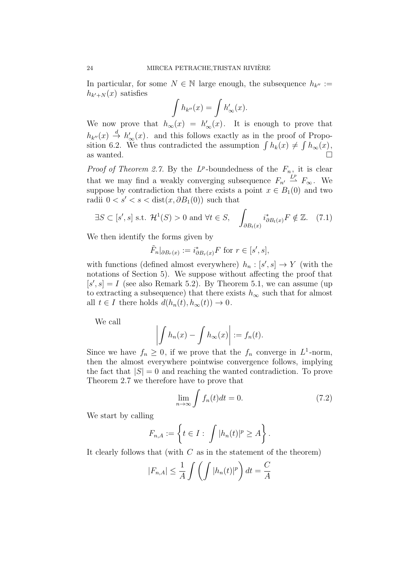In particular, for some  $N \in \mathbb{N}$  large enough, the subsequence  $h_{k''} :=$  $h_{k'+N}(x)$  satisfies

$$
\int h_{k''}(x) = \int h'_{\infty}(x).
$$

We now prove that  $h_{\infty}(x) = h'_{\infty}(x)$ . It is enough to prove that  $h_{k''}(x) \stackrel{d}{\rightarrow} h'_{\infty}(x)$ . and this follows exactly as in the proof of Proposition 6.2. We thus contradicted the assumption  $\int h_k(x) \neq \int h_\infty(x)$ , as wanted.  $\Box$ 

*Proof of Theorem 2.7.* By the  $L^p$ -boundedness of the  $F_n$ , it is clear that we may find a weakly converging subsequence  $F_{n'} \stackrel{L^p}{\rightarrow} F_{\infty}$ . We suppose by contradiction that there exists a point  $x \in B_1(0)$  and two radii  $0 < s' < s < \text{dist}(x, \partial B_1(0))$  such that

$$
\exists S \subset [s', s] \text{ s.t. } \mathcal{H}^1(S) > 0 \text{ and } \forall t \in S, \quad \int_{\partial B_t(x)} i^*_{\partial B_t(x)} F \notin \mathbb{Z}. \tag{7.1}
$$

We then identify the forms given by

$$
\tilde{F}_n|_{\partial B_r(x)} := i^*_{\partial B_r(x)} F \text{ for } r \in [s', s],
$$

with functions (defined almost everywhere)  $h_n : [s', s] \to Y$  (with the notations of Section 5). We suppose without affecting the proof that  $[s', s] = I$  (see also Remark 5.2). By Theorem 5.1, we can assume (up to extracting a subsequence) that there exists  $h_{\infty}$  such that for almost all  $t \in I$  there holds  $d(h_n(t), h_\infty(t)) \to 0$ .

We call

$$
\left| \int h_n(x) - \int h_\infty(x) \right| := f_n(t).
$$

Since we have  $f_n \geq 0$ , if we prove that the  $f_n$  converge in  $L^1$ -norm, then the almost everywhere pointwise convergence follows, implying the fact that  $|S| = 0$  and reaching the wanted contradiction. To prove Theorem 2.7 we therefore have to prove that

$$
\lim_{n \to \infty} \int f_n(t)dt = 0.
$$
\n(7.2)

We start by calling

$$
F_{n,A} := \left\{ t \in I : \int |h_n(t)|^p \ge A \right\}.
$$

It clearly follows that (with  $C$  as in the statement of the theorem)

$$
|F_{n,A}| \le \frac{1}{A} \int \left( \int |h_n(t)|^p \right) dt = \frac{C}{A}
$$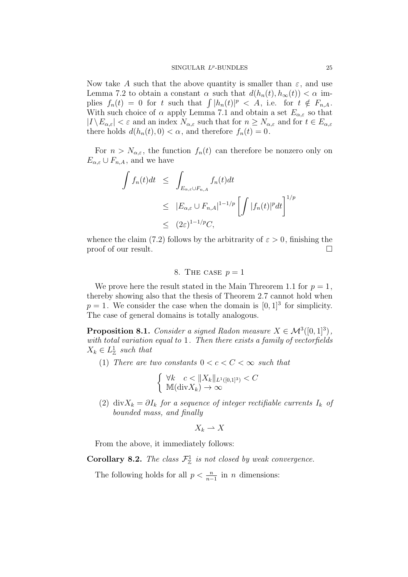Now take A such that the above quantity is smaller than  $\varepsilon$ , and use Lemma 7.2 to obtain a constant  $\alpha$  such that  $d(h_n(t), h_\infty(t)) < \alpha$  implies  $f_n(t) = 0$  for t such that  $\int |h_n(t)|^p < A$ , i.e. for  $t \notin F_{n,A}$ . With such choice of  $\alpha$  apply Lemma 7.1 and obtain a set  $E_{\alpha,\varepsilon}$  so that  $|I \setminus E_{\alpha,\varepsilon}| < \varepsilon$  and an index  $N_{\alpha,\varepsilon}$  such that for  $n \ge N_{\alpha,\varepsilon}$  and for  $t \in E_{\alpha,\varepsilon}$ there holds  $d(h_n(t), 0) < \alpha$ , and therefore  $f_n(t) = 0$ .

For  $n > N_{\alpha,\varepsilon}$ , the function  $f_n(t)$  can therefore be nonzero only on  $E_{\alpha,\varepsilon} \cup F_{n,A}$ , and we have

$$
\int f_n(t)dt \leq \int_{E_{\alpha,\varepsilon}\cup F_{n,A}} f_n(t)dt
$$
\n
$$
\leq |E_{\alpha,\varepsilon}\cup F_{n,A}|^{1-1/p} \left[ \int |f_n(t)|^p dt \right]^{1/p}
$$
\n
$$
\leq (2\varepsilon)^{1-1/p} C,
$$

whence the claim (7.2) follows by the arbitrarity of  $\varepsilon > 0$ , finishing the proof of our result.

## 8. THE CASE  $p=1$

We prove here the result stated in the Main Threorem 1.1 for  $p=1$ , thereby showing also that the thesis of Theorem 2.7 cannot hold when  $p = 1$ . We consider the case when the domain is  $[0, 1]^3$  for simplicity. The case of general domains is totally analogous.

**Proposition 8.1.** Consider a signed Radon measure  $X \in \mathcal{M}^3([0,1]^3)$ , with total variation equal to 1. Then there exists a family of vectorfields  $X_k \in L^1_{\mathbb{Z}}$  such that

(1) There are two constants  $0 < c < C < \infty$  such that

$$
\begin{cases} \forall k \quad c < ||X_k||_{L^1([0,1]^3)} < C \\ \mathbb{M}(\text{div}X_k) \to \infty \end{cases}
$$

(2) div $X_k = \partial I_k$  for a sequence of integer rectifiable currents  $I_k$  of bounded mass, and finally

$$
X_k \rightharpoonup X
$$

From the above, it immediately follows:

**Corollary 8.2.** The class  $\mathcal{F}_{\mathbb{Z}}^1$  is not closed by weak convergence.

The following holds for all  $p < \frac{n}{n-1}$  in *n* dimensions: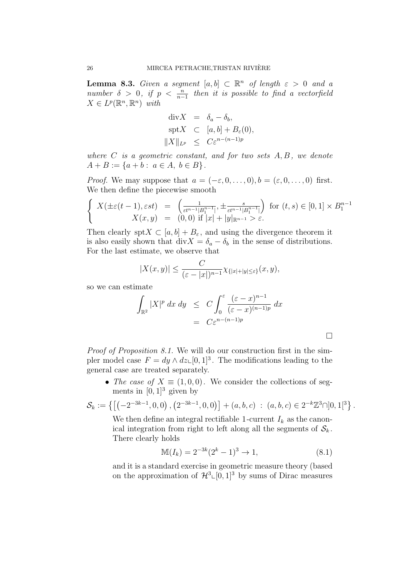**Lemma 8.3.** Given a segment  $[a, b] \subset \mathbb{R}^n$  of length  $\varepsilon > 0$  and a number  $\delta > 0$ , if  $p < \frac{n}{n-1}$  then it is possible to find a vectorfield  $X \in L^p(\mathbb{R}^n, \mathbb{R}^n)$  with

$$
\begin{aligned}\n\text{div}X &= \delta_a - \delta_b, \\
\text{spt}X &\subset [a, b] + B_{\varepsilon}(0), \\
\|X\|_{L^p} &\leq C\varepsilon^{n-(n-1)p}\n\end{aligned}
$$

where  $C$  is a geometric constant, and for two sets  $A, B$ , we denote  $A + B := \{a + b : a \in A, b \in B\}.$ 

*Proof.* We may suppose that  $a = (-\varepsilon, 0, \ldots, 0), b = (\varepsilon, 0, \ldots, 0)$  first. We then define the piecewise smooth

$$
\begin{cases}\nX(\pm \varepsilon(t-1), \varepsilon st) = \left( \frac{1}{\varepsilon t^{n-1} |B_1^{n-1}|}, \pm \frac{s}{\varepsilon t^{n-1} |B_1^{n-1}|} \right) & \text{for } (t, s) \in [0, 1] \times B_1^{n-1} \\
X(x, y) = (0, 0) & \text{if } |x| + |y|_{\mathbb{R}^{n-1}} > \varepsilon.\n\end{cases}
$$

Then clearly spt  $X \subset [a, b] + B_{\varepsilon}$ , and using the divergence theorem it is also easily shown that div $X = \delta_a - \delta_b$  in the sense of distributions. For the last estimate, we observe that

$$
|X(x,y)| \le \frac{C}{(\varepsilon - |x|)^{n-1}} \chi_{\{|x|+|y|\le \varepsilon\}}(x,y),
$$

so we can estimate

$$
\int_{\mathbb{R}^2} |X|^p \, dx \, dy \leq C \int_0^{\varepsilon} \frac{(\varepsilon - x)^{n-1}}{(\varepsilon - x)^{(n-1)p}} \, dx
$$
\n
$$
= C \varepsilon^{n - (n-1)p} \qquad \Box
$$

Proof of Proposition 8.1. We will do our construction first in the simpler model case  $F = dy \wedge dz \in [0, 1]^3$ . The modifications leading to the general case are treated separately.

• The case of  $X \equiv (1, 0, 0)$ . We consider the collections of segments in  $[0, 1]^3$  given by

$$
\mathcal{S}_k := \left\{ \left[ \left( -2^{-3k-1}, 0, 0 \right), \left( 2^{-3k-1}, 0, 0 \right) \right] + (a, b, c) \; : \; (a, b, c) \in 2^{-k} \mathbb{Z}^3 \cap ]0, 1[^3 \right\}.
$$

We then define an integral rectifiable 1-current  $I_k$  as the canonical integration from right to left along all the segments of  $S_k$ . There clearly holds

$$
\mathbb{M}(I_k) = 2^{-3k}(2^k - 1)^3 \to 1,\tag{8.1}
$$

and it is a standard exercise in geometric measure theory (based on the approximation of  $\mathcal{H}^3 \llcorner [0, 1]^3$  by sums of Dirac measures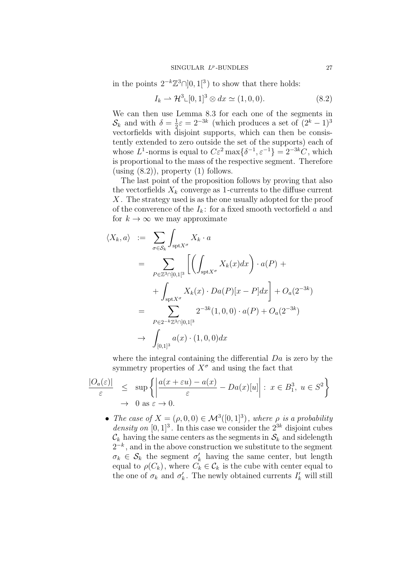in the points  $2^{-k}\mathbb{Z}^3 \cap ]0,1[^3)$  to show that there holds:

$$
I_k \rightharpoonup \mathcal{H}^3 \llcorner [0,1]^3 \otimes dx \simeq (1,0,0). \tag{8.2}
$$

We can then use Lemma 8.3 for each one of the segments in  $\mathcal{S}_k$  and with  $\delta = \frac{1}{2}$  $\frac{1}{2}\varepsilon = 2^{-3k}$  (which produces a set of  $(2^k - 1)^3$ vectorfields with disjoint supports, which can then be consistently extended to zero outside the set of the supports) each of whose  $L^1$ -norms is equal to  $C\varepsilon^2 \max\{\delta^{-1}, \varepsilon^{-1}\} = 2^{-3k}C$ , which is proportional to the mass of the respective segment. Therefore (using  $(8.2)$ ), property  $(1)$  follows.

The last point of the proposition follows by proving that also the vectorfields  $X_k$  converge as 1-currents to the diffuse current X . The strategy used is as the one usually adopted for the proof of the converence of the  $I_k$ : for a fixed smooth vectorfield a and for  $k \to \infty$  we may approximate

$$
\langle X_k, a \rangle := \sum_{\sigma \in S_k} \int_{\text{spt} X^{\sigma}} X_k \cdot a
$$
  
\n
$$
= \sum_{P \in \mathbb{Z}^3 \cap ]0,1[^3} \left[ \left( \int_{\text{spt} X^{\sigma}} X_k(x) dx \right) \cdot a(P) + \right. \\
\left. + \int_{\text{spt} X^{\sigma}} X_k(x) \cdot Da(P)[x - P] dx \right] + O_a(2^{-3k})
$$
  
\n
$$
= \sum_{P \in 2^{-k} \mathbb{Z}^3 \cap ]0,1[^3} 2^{-3k} (1,0,0) \cdot a(P) + O_a(2^{-3k})
$$
  
\n
$$
\rightarrow \int_{[0,1]^3} a(x) \cdot (1,0,0) dx
$$

where the integral containing the differential Da is zero by the symmetry properties of  $X^{\sigma}$  and using the fact that

$$
\frac{|O_a(\varepsilon)|}{\varepsilon} \le \sup \left\{ \left| \frac{a(x + \varepsilon u) - a(x)}{\varepsilon} - Da(x)[u] \right| : x \in B_1^3, u \in S^2 \right\}
$$
  

$$
\to 0 \text{ as } \varepsilon \to 0.
$$

• The case of  $X = (\rho, 0, 0) \in \mathcal{M}^3([0, 1]^3)$ , where  $\rho$  is a probability density on  $[0, 1]^3$ . In this case we consider the  $2^{3k}$  disjoint cubes  $\mathcal{C}_k$  having the same centers as the segments in  $\mathcal{S}_k$  and sidelength  $2^{-k}$ , and in the above construction we substitute to the segment  $\sigma_k \in \mathcal{S}_k$  the segment  $\sigma'_k$  having the same center, but length equal to  $\rho(C_k)$ , where  $C_k \in \mathcal{C}_k$  is the cube with center equal to the one of  $\sigma_k$  and  $\sigma'_k$ . The newly obtained currents  $I'_k$  will still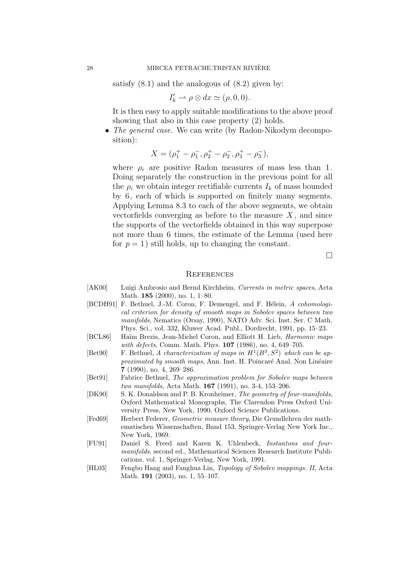satisfy  $(8.1)$  and the analogous of  $(8.2)$  given by:

$$
I'_k \rightharpoonup \rho \otimes dx \simeq (\rho, 0, 0).
$$

It is then easy to apply suitable modifications to the above proof showing that also in this case property (2) holds.

• The general case. We can write (by Radon-Nikodym decomposition):

$$
X = (\rho_1^+ - \rho_1^-, \rho_2^+ - \rho_2^-, \rho_3^+ - \rho_3^-),
$$

where  $\rho_i$  are positive Radon measures of mass less than 1. Doing separately the construction in the previous point for all the  $\rho_i$  we obtain integer rectifiable currents  $I_k$  of mass bounded by 6, each of which is supported on finitely many segments. Applying Lemma 8.3 to each of the above segments, we obtain vectorfields converging as before to the measure  $X$ , and since the supports of the vectorfields obtained in this way superpose not more than 6 times, the estimate of the Lemma (used here for  $p = 1$ ) still holds, up to changing the constant.

 $\Box$ 

#### **REFERENCES**

- [AK00] Luigi Ambrosio and Bernd Kirchheim, Currents in metric spaces, Acta Math. 185 (2000), no. 1, 1–80.
- [BCDH91] F. Bethuel, J.-M. Coron, F. Demengel, and F. Hélein, A cohomological criterion for density of smooth maps in Sobolev spaces between two manifolds, Nematics (Orsay, 1990), NATO Adv. Sci. Inst. Ser. C Math. Phys. Sci., vol. 332, Kluwer Acad. Publ., Dordrecht, 1991, pp. 15–23.
- [BCL86] Haïm Brezis, Jean-Michel Coron, and Elliott H. Lieb, *Harmonic maps* with defects, Comm. Math. Phys. **107** (1986), no. 4, 649–705.
- [Bet90] F. Bethuel, A characterization of maps in  $H^1(B^3, S^2)$  which can be approximated by smooth maps, Ann. Inst. H. Poincaré Anal. Non Linéaire 7 (1990), no. 4, 269–286.
- [Bet91] Fabrice Bethuel, The approximation problem for Sobolev maps between two manifolds, Acta Math. 167 (1991), no. 3-4, 153–206.
- [DK90] S. K. Donaldson and P. B. Kronheimer, The geometry of four-manifolds, Oxford Mathematical Monographs, The Clarendon Press Oxford University Press, New York, 1990, Oxford Science Publications.
- [Fed69] Herbert Federer, Geometric measure theory, Die Grundlehren der mathematischen Wissenschaften, Band 153, Springer-Verlag New York Inc., New York, 1969.
- [FU91] Daniel S. Freed and Karen K. Uhlenbeck, Instantons and fourmanifolds, second ed., Mathematical Sciences Research Institute Publications, vol. 1, Springer-Verlag, New York, 1991.
- [HL03] Fengbo Hang and Fanghua Lin, Topology of Sobolev mappings. II, Acta Math. 191 (2003), no. 1, 55–107.